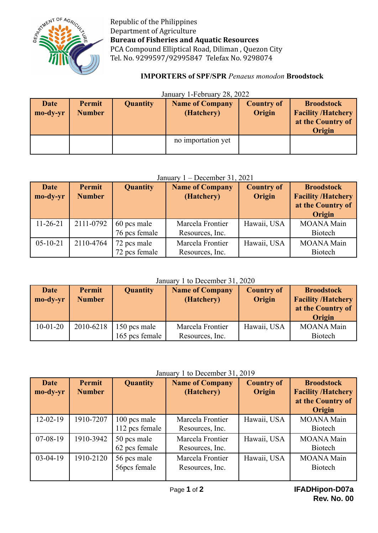

Republic of the Philippines Department of Agriculture **Bureau of Fisheries and Aquatic Resources** PCA Compound Elliptical Road, Diliman , Quezon City Tel. No. 9299597/92995847 Telefax No. 9298074

# **IMPORTERS of SPF/SPR** *Penaeus monodon* **Broodstock**

# January 1-February 28, 2022

| <b>Date</b><br>mo-dy-yr | Permit<br><b>Number</b> | <b>Quantity</b> | <b>Name of Company</b><br>(Hatchery) | <b>Country of</b><br>Origin | <b>Broodstock</b><br><b>Facility /Hatchery</b><br>at the Country of<br>Origin |
|-------------------------|-------------------------|-----------------|--------------------------------------|-----------------------------|-------------------------------------------------------------------------------|
|                         |                         |                 | no importation yet                   |                             |                                                                               |

### January 1 – December 31, 2021

| <b>Date</b><br>mo-dy-yr | Permit<br><b>Number</b> | <b>Quantity</b>              | <b>Name of Company</b><br>(Hatchery) | <b>Country of</b><br>Origin | <b>Broodstock</b><br><b>Facility /Hatchery</b><br>at the Country of<br>Origin |
|-------------------------|-------------------------|------------------------------|--------------------------------------|-----------------------------|-------------------------------------------------------------------------------|
| $11 - 26 - 21$          | 2111-0792               | 60 pcs male<br>76 pcs female | Marcela Frontier<br>Resources, Inc.  | Hawaii, USA                 | <b>MOANA Main</b><br><b>Biotech</b>                                           |
| $05 - 10 - 21$          | 2110-4764               | 72 pcs male<br>72 pcs female | Marcela Frontier<br>Resources, Inc.  | Hawaii, USA                 | <b>MOANA Main</b><br><b>Biotech</b>                                           |

### January 1 to December 31, 2020

| <b>Date</b><br>mo-dy-yr | Permit<br><b>Number</b> | <b>Quantity</b>                | <b>Name of Company</b><br>(Hatchery) | <b>Country of</b><br>Origin | <b>Broodstock</b><br><b>Facility /Hatchery</b><br>at the Country of<br>Origin |
|-------------------------|-------------------------|--------------------------------|--------------------------------------|-----------------------------|-------------------------------------------------------------------------------|
| $10 - 01 - 20$          | 2010-6218               | 150 pcs male<br>165 pcs female | Marcela Frontier<br>Resources, Inc.  | Hawaii, USA                 | <b>MOANA Main</b><br><b>Biotech</b>                                           |

# January 1 to December 31, 2019

| <b>Date</b><br>mo-dy-yr | Permit<br><b>Number</b> | <b>Quantity</b>                | <b>Name of Company</b><br>(Hatchery) | <b>Country of</b><br>Origin | <b>Broodstock</b><br><b>Facility /Hatchery</b><br>at the Country of<br>Origin |
|-------------------------|-------------------------|--------------------------------|--------------------------------------|-----------------------------|-------------------------------------------------------------------------------|
| $12 - 02 - 19$          | 1910-7207               | 100 pcs male<br>112 pcs female | Marcela Frontier<br>Resources, Inc.  | Hawaii, USA                 | <b>MOANA</b> Main<br><b>Biotech</b>                                           |
| $07-08-19$              | 1910-3942               | 50 pcs male<br>62 pcs female   | Marcela Frontier<br>Resources, Inc.  | Hawaii, USA                 | <b>MOANA</b> Main<br><b>Biotech</b>                                           |
| $03-04-19$              | 1910-2120               | 56 pcs male<br>56pcs female    | Marcela Frontier<br>Resources, Inc.  | Hawaii, USA                 | <b>MOANA</b> Main<br><b>Biotech</b>                                           |